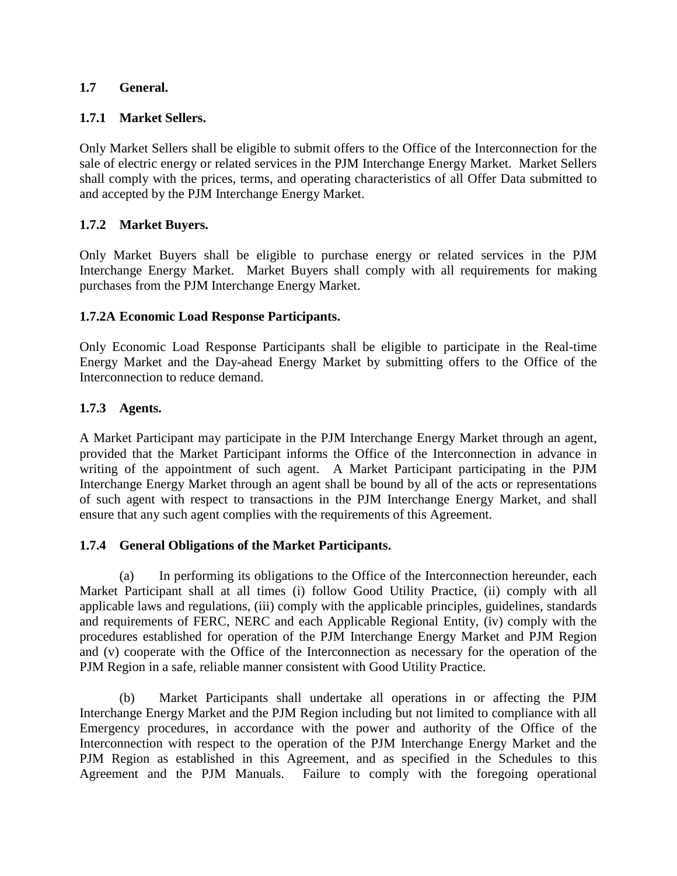#### **1.7 General.**

#### **1.7.1 Market Sellers.**

Only Market Sellers shall be eligible to submit offers to the Office of the Interconnection for the sale of electric energy or related services in the PJM Interchange Energy Market. Market Sellers shall comply with the prices, terms, and operating characteristics of all Offer Data submitted to and accepted by the PJM Interchange Energy Market.

### **1.7.2 Market Buyers.**

Only Market Buyers shall be eligible to purchase energy or related services in the PJM Interchange Energy Market. Market Buyers shall comply with all requirements for making purchases from the PJM Interchange Energy Market.

#### **1.7.2A Economic Load Response Participants.**

Only Economic Load Response Participants shall be eligible to participate in the Real-time Energy Market and the Day-ahead Energy Market by submitting offers to the Office of the Interconnection to reduce demand.

#### **1.7.3 Agents.**

A Market Participant may participate in the PJM Interchange Energy Market through an agent, provided that the Market Participant informs the Office of the Interconnection in advance in writing of the appointment of such agent. A Market Participant participating in the PJM Interchange Energy Market through an agent shall be bound by all of the acts or representations of such agent with respect to transactions in the PJM Interchange Energy Market, and shall ensure that any such agent complies with the requirements of this Agreement.

#### **1.7.4 General Obligations of the Market Participants.**

(a) In performing its obligations to the Office of the Interconnection hereunder, each Market Participant shall at all times (i) follow Good Utility Practice, (ii) comply with all applicable laws and regulations, (iii) comply with the applicable principles, guidelines, standards and requirements of FERC, NERC and each Applicable Regional Entity, (iv) comply with the procedures established for operation of the PJM Interchange Energy Market and PJM Region and (v) cooperate with the Office of the Interconnection as necessary for the operation of the PJM Region in a safe, reliable manner consistent with Good Utility Practice.

(b) Market Participants shall undertake all operations in or affecting the PJM Interchange Energy Market and the PJM Region including but not limited to compliance with all Emergency procedures, in accordance with the power and authority of the Office of the Interconnection with respect to the operation of the PJM Interchange Energy Market and the PJM Region as established in this Agreement, and as specified in the Schedules to this Agreement and the PJM Manuals. Failure to comply with the foregoing operational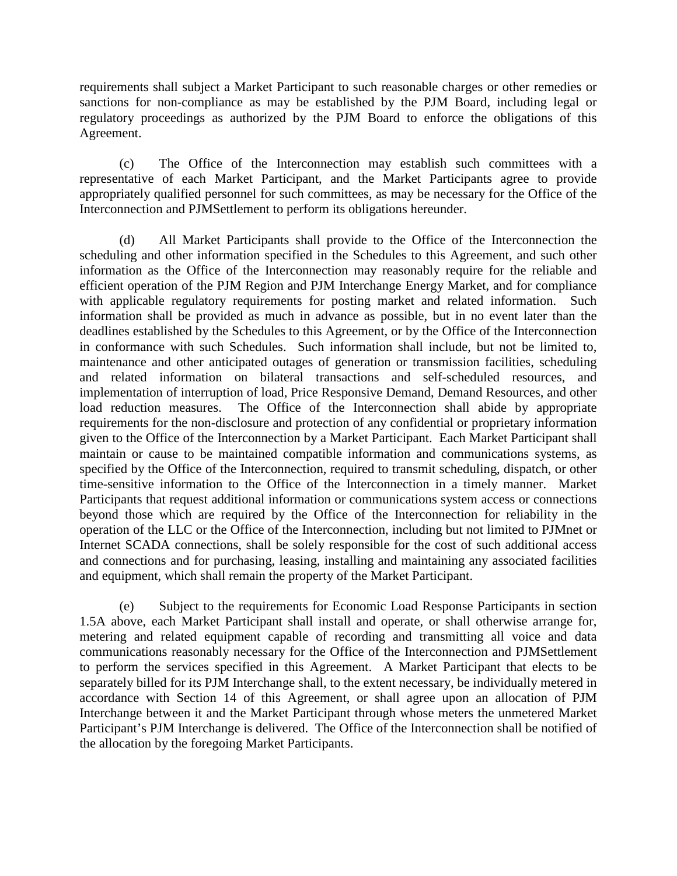requirements shall subject a Market Participant to such reasonable charges or other remedies or sanctions for non-compliance as may be established by the PJM Board, including legal or regulatory proceedings as authorized by the PJM Board to enforce the obligations of this Agreement.

(c) The Office of the Interconnection may establish such committees with a representative of each Market Participant, and the Market Participants agree to provide appropriately qualified personnel for such committees, as may be necessary for the Office of the Interconnection and PJMSettlement to perform its obligations hereunder.

(d) All Market Participants shall provide to the Office of the Interconnection the scheduling and other information specified in the Schedules to this Agreement, and such other information as the Office of the Interconnection may reasonably require for the reliable and efficient operation of the PJM Region and PJM Interchange Energy Market, and for compliance with applicable regulatory requirements for posting market and related information. Such information shall be provided as much in advance as possible, but in no event later than the deadlines established by the Schedules to this Agreement, or by the Office of the Interconnection in conformance with such Schedules. Such information shall include, but not be limited to, maintenance and other anticipated outages of generation or transmission facilities, scheduling and related information on bilateral transactions and self-scheduled resources, and implementation of interruption of load, Price Responsive Demand, Demand Resources, and other load reduction measures. The Office of the Interconnection shall abide by appropriate requirements for the non-disclosure and protection of any confidential or proprietary information given to the Office of the Interconnection by a Market Participant. Each Market Participant shall maintain or cause to be maintained compatible information and communications systems, as specified by the Office of the Interconnection, required to transmit scheduling, dispatch, or other time-sensitive information to the Office of the Interconnection in a timely manner. Market Participants that request additional information or communications system access or connections beyond those which are required by the Office of the Interconnection for reliability in the operation of the LLC or the Office of the Interconnection, including but not limited to PJMnet or Internet SCADA connections, shall be solely responsible for the cost of such additional access and connections and for purchasing, leasing, installing and maintaining any associated facilities and equipment, which shall remain the property of the Market Participant.

(e) Subject to the requirements for Economic Load Response Participants in section 1.5A above, each Market Participant shall install and operate, or shall otherwise arrange for, metering and related equipment capable of recording and transmitting all voice and data communications reasonably necessary for the Office of the Interconnection and PJMSettlement to perform the services specified in this Agreement. A Market Participant that elects to be separately billed for its PJM Interchange shall, to the extent necessary, be individually metered in accordance with Section 14 of this Agreement, or shall agree upon an allocation of PJM Interchange between it and the Market Participant through whose meters the unmetered Market Participant's PJM Interchange is delivered. The Office of the Interconnection shall be notified of the allocation by the foregoing Market Participants.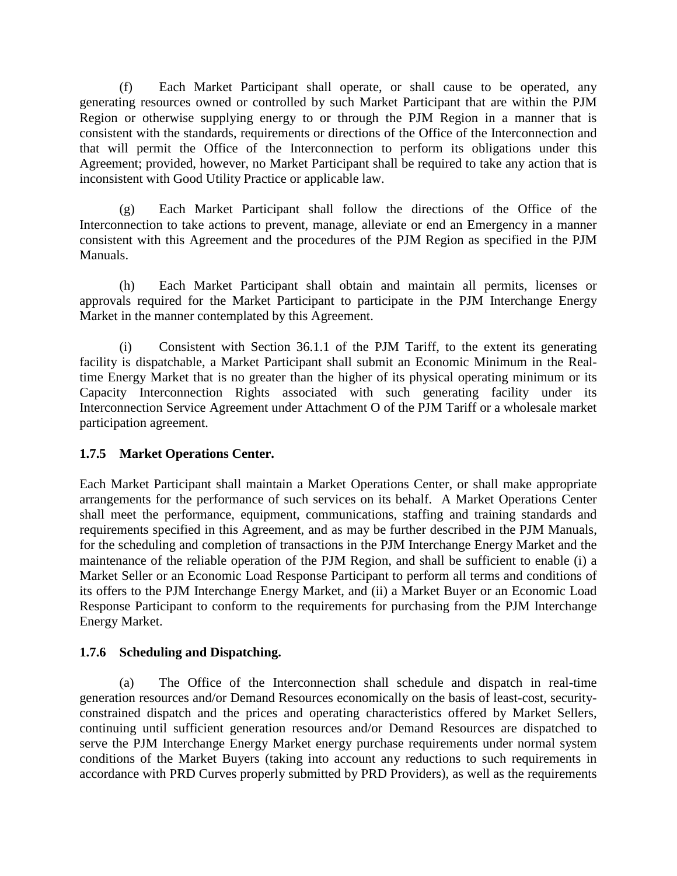(f) Each Market Participant shall operate, or shall cause to be operated, any generating resources owned or controlled by such Market Participant that are within the PJM Region or otherwise supplying energy to or through the PJM Region in a manner that is consistent with the standards, requirements or directions of the Office of the Interconnection and that will permit the Office of the Interconnection to perform its obligations under this Agreement; provided, however, no Market Participant shall be required to take any action that is inconsistent with Good Utility Practice or applicable law.

(g) Each Market Participant shall follow the directions of the Office of the Interconnection to take actions to prevent, manage, alleviate or end an Emergency in a manner consistent with this Agreement and the procedures of the PJM Region as specified in the PJM Manuals.

(h) Each Market Participant shall obtain and maintain all permits, licenses or approvals required for the Market Participant to participate in the PJM Interchange Energy Market in the manner contemplated by this Agreement.

(i) Consistent with Section 36.1.1 of the PJM Tariff, to the extent its generating facility is dispatchable, a Market Participant shall submit an Economic Minimum in the Realtime Energy Market that is no greater than the higher of its physical operating minimum or its Capacity Interconnection Rights associated with such generating facility under its Interconnection Service Agreement under Attachment O of the PJM Tariff or a wholesale market participation agreement.

### **1.7.5 Market Operations Center.**

Each Market Participant shall maintain a Market Operations Center, or shall make appropriate arrangements for the performance of such services on its behalf. A Market Operations Center shall meet the performance, equipment, communications, staffing and training standards and requirements specified in this Agreement, and as may be further described in the PJM Manuals, for the scheduling and completion of transactions in the PJM Interchange Energy Market and the maintenance of the reliable operation of the PJM Region, and shall be sufficient to enable (i) a Market Seller or an Economic Load Response Participant to perform all terms and conditions of its offers to the PJM Interchange Energy Market, and (ii) a Market Buyer or an Economic Load Response Participant to conform to the requirements for purchasing from the PJM Interchange Energy Market.

### **1.7.6 Scheduling and Dispatching.**

(a) The Office of the Interconnection shall schedule and dispatch in real-time generation resources and/or Demand Resources economically on the basis of least-cost, securityconstrained dispatch and the prices and operating characteristics offered by Market Sellers, continuing until sufficient generation resources and/or Demand Resources are dispatched to serve the PJM Interchange Energy Market energy purchase requirements under normal system conditions of the Market Buyers (taking into account any reductions to such requirements in accordance with PRD Curves properly submitted by PRD Providers), as well as the requirements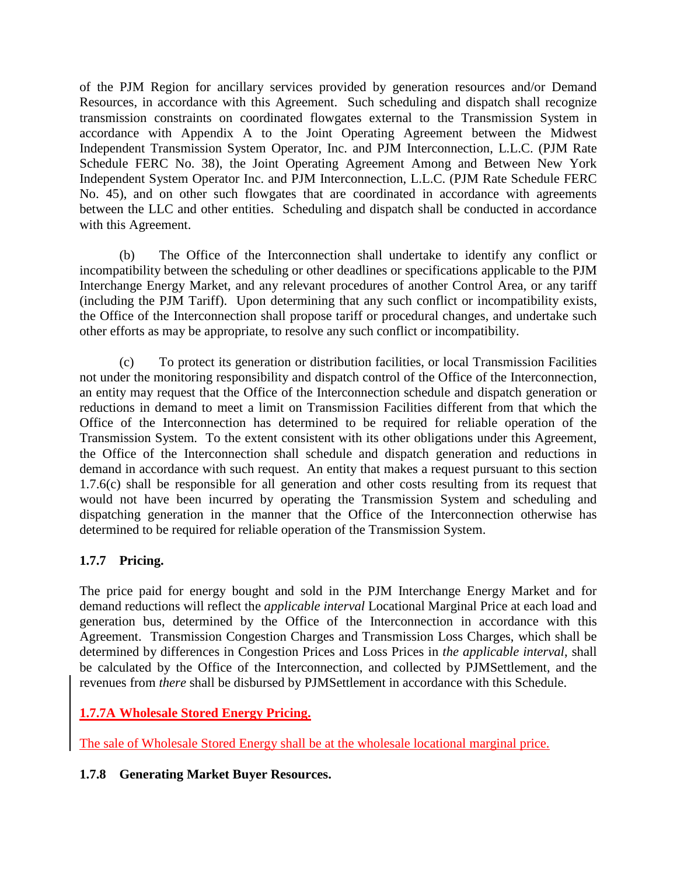of the PJM Region for ancillary services provided by generation resources and/or Demand Resources, in accordance with this Agreement. Such scheduling and dispatch shall recognize transmission constraints on coordinated flowgates external to the Transmission System in accordance with Appendix A to the Joint Operating Agreement between the Midwest Independent Transmission System Operator, Inc. and PJM Interconnection, L.L.C. (PJM Rate Schedule FERC No. 38), the Joint Operating Agreement Among and Between New York Independent System Operator Inc. and PJM Interconnection, L.L.C. (PJM Rate Schedule FERC No. 45), and on other such flowgates that are coordinated in accordance with agreements between the LLC and other entities. Scheduling and dispatch shall be conducted in accordance with this Agreement.

(b) The Office of the Interconnection shall undertake to identify any conflict or incompatibility between the scheduling or other deadlines or specifications applicable to the PJM Interchange Energy Market, and any relevant procedures of another Control Area, or any tariff (including the PJM Tariff). Upon determining that any such conflict or incompatibility exists, the Office of the Interconnection shall propose tariff or procedural changes, and undertake such other efforts as may be appropriate, to resolve any such conflict or incompatibility.

(c) To protect its generation or distribution facilities, or local Transmission Facilities not under the monitoring responsibility and dispatch control of the Office of the Interconnection, an entity may request that the Office of the Interconnection schedule and dispatch generation or reductions in demand to meet a limit on Transmission Facilities different from that which the Office of the Interconnection has determined to be required for reliable operation of the Transmission System. To the extent consistent with its other obligations under this Agreement, the Office of the Interconnection shall schedule and dispatch generation and reductions in demand in accordance with such request. An entity that makes a request pursuant to this section 1.7.6(c) shall be responsible for all generation and other costs resulting from its request that would not have been incurred by operating the Transmission System and scheduling and dispatching generation in the manner that the Office of the Interconnection otherwise has determined to be required for reliable operation of the Transmission System.

# **1.7.7 Pricing.**

The price paid for energy bought and sold in the PJM Interchange Energy Market and for demand reductions will reflect the *applicable interval* Locational Marginal Price at each load and generation bus, determined by the Office of the Interconnection in accordance with this Agreement. Transmission Congestion Charges and Transmission Loss Charges, which shall be determined by differences in Congestion Prices and Loss Prices in *the applicable interval*, shall be calculated by the Office of the Interconnection, and collected by PJMSettlement, and the revenues from *there* shall be disbursed by PJMSettlement in accordance with this Schedule.

# **1.7.7A Wholesale Stored Energy Pricing.**

The sale of Wholesale Stored Energy shall be at the wholesale locational marginal price.

### **1.7.8 Generating Market Buyer Resources.**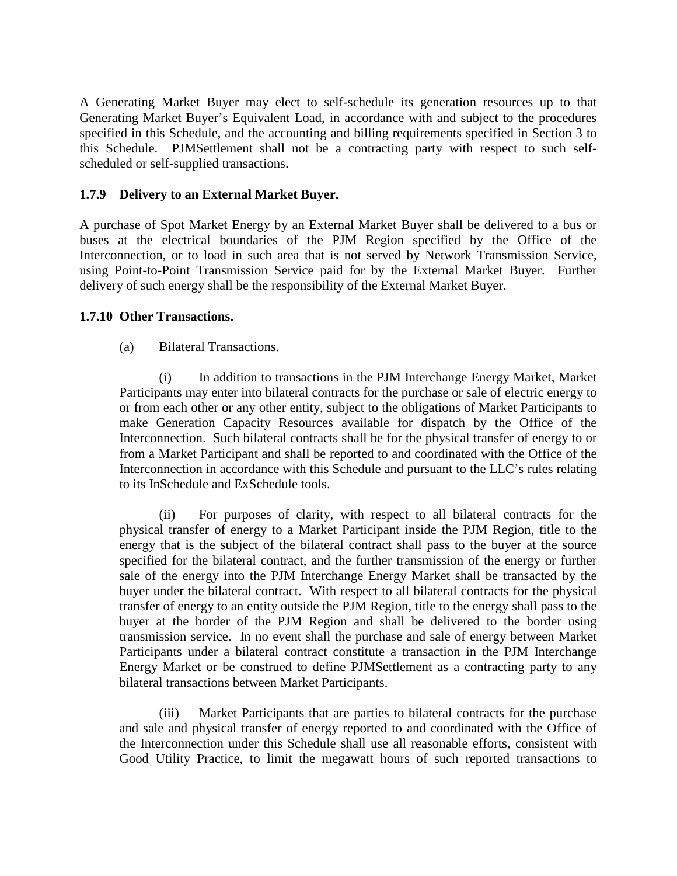A Generating Market Buyer may elect to self-schedule its generation resources up to that Generating Market Buyer's Equivalent Load, in accordance with and subject to the procedures specified in this Schedule, and the accounting and billing requirements specified in Section 3 to this Schedule. PJMSettlement shall not be a contracting party with respect to such selfscheduled or self-supplied transactions.

#### **1.7.9 Delivery to an External Market Buyer.**

A purchase of Spot Market Energy by an External Market Buyer shall be delivered to a bus or buses at the electrical boundaries of the PJM Region specified by the Office of the Interconnection, or to load in such area that is not served by Network Transmission Service, using Point-to-Point Transmission Service paid for by the External Market Buyer. Further delivery of such energy shall be the responsibility of the External Market Buyer.

#### **1.7.10 Other Transactions.**

#### (a) Bilateral Transactions.

(i) In addition to transactions in the PJM Interchange Energy Market, Market Participants may enter into bilateral contracts for the purchase or sale of electric energy to or from each other or any other entity, subject to the obligations of Market Participants to make Generation Capacity Resources available for dispatch by the Office of the Interconnection. Such bilateral contracts shall be for the physical transfer of energy to or from a Market Participant and shall be reported to and coordinated with the Office of the Interconnection in accordance with this Schedule and pursuant to the LLC's rules relating to its InSchedule and ExSchedule tools.

(ii) For purposes of clarity, with respect to all bilateral contracts for the physical transfer of energy to a Market Participant inside the PJM Region, title to the energy that is the subject of the bilateral contract shall pass to the buyer at the source specified for the bilateral contract, and the further transmission of the energy or further sale of the energy into the PJM Interchange Energy Market shall be transacted by the buyer under the bilateral contract. With respect to all bilateral contracts for the physical transfer of energy to an entity outside the PJM Region, title to the energy shall pass to the buyer at the border of the PJM Region and shall be delivered to the border using transmission service. In no event shall the purchase and sale of energy between Market Participants under a bilateral contract constitute a transaction in the PJM Interchange Energy Market or be construed to define PJMSettlement as a contracting party to any bilateral transactions between Market Participants.

(iii) Market Participants that are parties to bilateral contracts for the purchase and sale and physical transfer of energy reported to and coordinated with the Office of the Interconnection under this Schedule shall use all reasonable efforts, consistent with Good Utility Practice, to limit the megawatt hours of such reported transactions to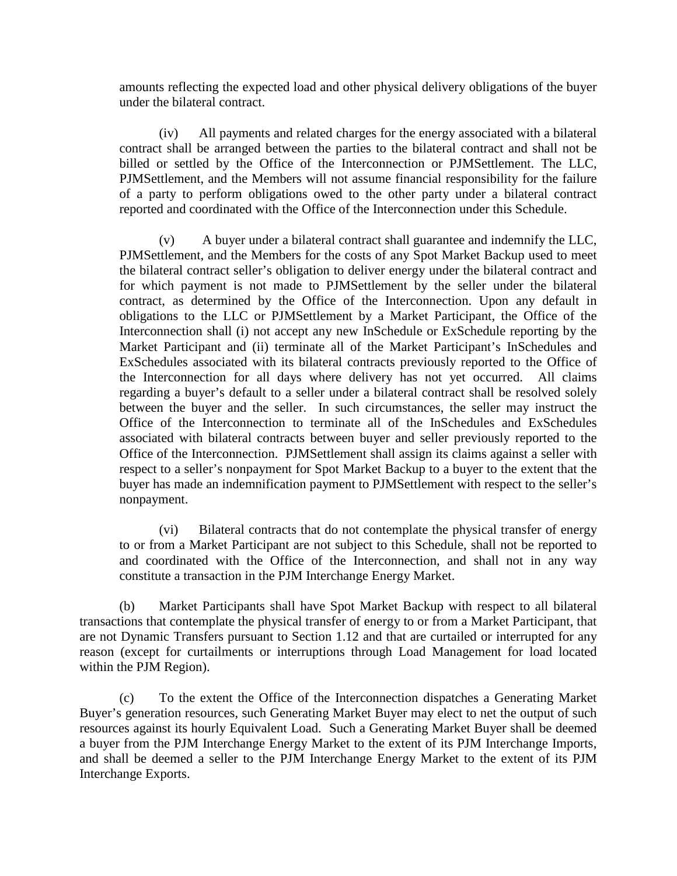amounts reflecting the expected load and other physical delivery obligations of the buyer under the bilateral contract.

(iv) All payments and related charges for the energy associated with a bilateral contract shall be arranged between the parties to the bilateral contract and shall not be billed or settled by the Office of the Interconnection or PJMSettlement. The LLC, PJMSettlement, and the Members will not assume financial responsibility for the failure of a party to perform obligations owed to the other party under a bilateral contract reported and coordinated with the Office of the Interconnection under this Schedule.

(v) A buyer under a bilateral contract shall guarantee and indemnify the LLC, PJMSettlement, and the Members for the costs of any Spot Market Backup used to meet the bilateral contract seller's obligation to deliver energy under the bilateral contract and for which payment is not made to PJMSettlement by the seller under the bilateral contract, as determined by the Office of the Interconnection. Upon any default in obligations to the LLC or PJMSettlement by a Market Participant, the Office of the Interconnection shall (i) not accept any new InSchedule or ExSchedule reporting by the Market Participant and (ii) terminate all of the Market Participant's InSchedules and ExSchedules associated with its bilateral contracts previously reported to the Office of the Interconnection for all days where delivery has not yet occurred. All claims regarding a buyer's default to a seller under a bilateral contract shall be resolved solely between the buyer and the seller. In such circumstances, the seller may instruct the Office of the Interconnection to terminate all of the InSchedules and ExSchedules associated with bilateral contracts between buyer and seller previously reported to the Office of the Interconnection. PJMSettlement shall assign its claims against a seller with respect to a seller's nonpayment for Spot Market Backup to a buyer to the extent that the buyer has made an indemnification payment to PJMSettlement with respect to the seller's nonpayment.

(vi) Bilateral contracts that do not contemplate the physical transfer of energy to or from a Market Participant are not subject to this Schedule, shall not be reported to and coordinated with the Office of the Interconnection, and shall not in any way constitute a transaction in the PJM Interchange Energy Market.

(b) Market Participants shall have Spot Market Backup with respect to all bilateral transactions that contemplate the physical transfer of energy to or from a Market Participant, that are not Dynamic Transfers pursuant to Section 1.12 and that are curtailed or interrupted for any reason (except for curtailments or interruptions through Load Management for load located within the PJM Region).

(c) To the extent the Office of the Interconnection dispatches a Generating Market Buyer's generation resources, such Generating Market Buyer may elect to net the output of such resources against its hourly Equivalent Load. Such a Generating Market Buyer shall be deemed a buyer from the PJM Interchange Energy Market to the extent of its PJM Interchange Imports, and shall be deemed a seller to the PJM Interchange Energy Market to the extent of its PJM Interchange Exports.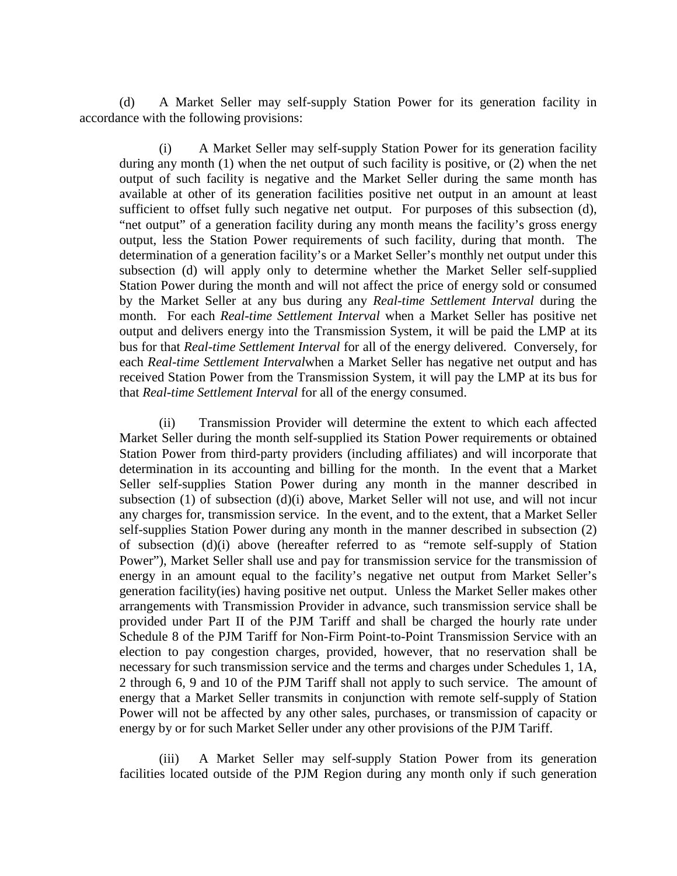(d) A Market Seller may self-supply Station Power for its generation facility in accordance with the following provisions:

(i) A Market Seller may self-supply Station Power for its generation facility during any month (1) when the net output of such facility is positive, or (2) when the net output of such facility is negative and the Market Seller during the same month has available at other of its generation facilities positive net output in an amount at least sufficient to offset fully such negative net output. For purposes of this subsection (d), "net output" of a generation facility during any month means the facility's gross energy output, less the Station Power requirements of such facility, during that month. The determination of a generation facility's or a Market Seller's monthly net output under this subsection (d) will apply only to determine whether the Market Seller self-supplied Station Power during the month and will not affect the price of energy sold or consumed by the Market Seller at any bus during any *Real-time Settlement Interval* during the month. For each *Real-time Settlement Interval* when a Market Seller has positive net output and delivers energy into the Transmission System, it will be paid the LMP at its bus for that *Real-time Settlement Interval* for all of the energy delivered. Conversely, for each *Real-time Settlement Interval*when a Market Seller has negative net output and has received Station Power from the Transmission System, it will pay the LMP at its bus for that *Real-time Settlement Interval* for all of the energy consumed.

(ii) Transmission Provider will determine the extent to which each affected Market Seller during the month self-supplied its Station Power requirements or obtained Station Power from third-party providers (including affiliates) and will incorporate that determination in its accounting and billing for the month. In the event that a Market Seller self-supplies Station Power during any month in the manner described in subsection (1) of subsection (d)(i) above, Market Seller will not use, and will not incur any charges for, transmission service. In the event, and to the extent, that a Market Seller self-supplies Station Power during any month in the manner described in subsection (2) of subsection (d)(i) above (hereafter referred to as "remote self-supply of Station Power"), Market Seller shall use and pay for transmission service for the transmission of energy in an amount equal to the facility's negative net output from Market Seller's generation facility(ies) having positive net output. Unless the Market Seller makes other arrangements with Transmission Provider in advance, such transmission service shall be provided under Part II of the PJM Tariff and shall be charged the hourly rate under Schedule 8 of the PJM Tariff for Non-Firm Point-to-Point Transmission Service with an election to pay congestion charges, provided, however, that no reservation shall be necessary for such transmission service and the terms and charges under Schedules 1, 1A, 2 through 6, 9 and 10 of the PJM Tariff shall not apply to such service. The amount of energy that a Market Seller transmits in conjunction with remote self-supply of Station Power will not be affected by any other sales, purchases, or transmission of capacity or energy by or for such Market Seller under any other provisions of the PJM Tariff.

(iii) A Market Seller may self-supply Station Power from its generation facilities located outside of the PJM Region during any month only if such generation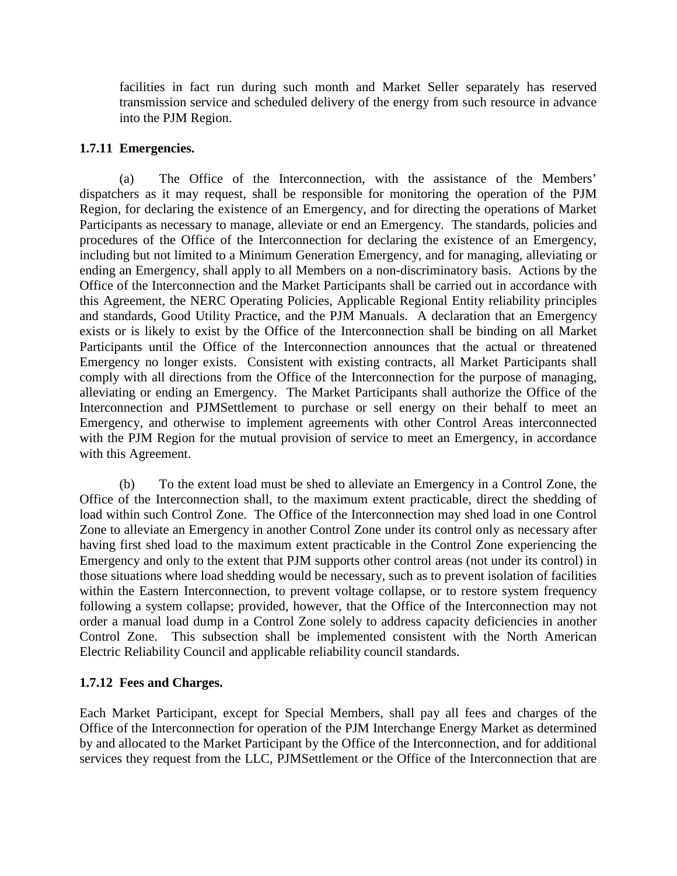facilities in fact run during such month and Market Seller separately has reserved transmission service and scheduled delivery of the energy from such resource in advance into the PJM Region.

#### **1.7.11 Emergencies.**

(a) The Office of the Interconnection, with the assistance of the Members' dispatchers as it may request, shall be responsible for monitoring the operation of the PJM Region, for declaring the existence of an Emergency, and for directing the operations of Market Participants as necessary to manage, alleviate or end an Emergency. The standards, policies and procedures of the Office of the Interconnection for declaring the existence of an Emergency, including but not limited to a Minimum Generation Emergency, and for managing, alleviating or ending an Emergency, shall apply to all Members on a non-discriminatory basis. Actions by the Office of the Interconnection and the Market Participants shall be carried out in accordance with this Agreement, the NERC Operating Policies, Applicable Regional Entity reliability principles and standards, Good Utility Practice, and the PJM Manuals. A declaration that an Emergency exists or is likely to exist by the Office of the Interconnection shall be binding on all Market Participants until the Office of the Interconnection announces that the actual or threatened Emergency no longer exists. Consistent with existing contracts, all Market Participants shall comply with all directions from the Office of the Interconnection for the purpose of managing, alleviating or ending an Emergency. The Market Participants shall authorize the Office of the Interconnection and PJMSettlement to purchase or sell energy on their behalf to meet an Emergency, and otherwise to implement agreements with other Control Areas interconnected with the PJM Region for the mutual provision of service to meet an Emergency, in accordance with this Agreement.

(b) To the extent load must be shed to alleviate an Emergency in a Control Zone, the Office of the Interconnection shall, to the maximum extent practicable, direct the shedding of load within such Control Zone. The Office of the Interconnection may shed load in one Control Zone to alleviate an Emergency in another Control Zone under its control only as necessary after having first shed load to the maximum extent practicable in the Control Zone experiencing the Emergency and only to the extent that PJM supports other control areas (not under its control) in those situations where load shedding would be necessary, such as to prevent isolation of facilities within the Eastern Interconnection, to prevent voltage collapse, or to restore system frequency following a system collapse; provided, however, that the Office of the Interconnection may not order a manual load dump in a Control Zone solely to address capacity deficiencies in another Control Zone. This subsection shall be implemented consistent with the North American Electric Reliability Council and applicable reliability council standards.

### **1.7.12 Fees and Charges.**

Each Market Participant, except for Special Members, shall pay all fees and charges of the Office of the Interconnection for operation of the PJM Interchange Energy Market as determined by and allocated to the Market Participant by the Office of the Interconnection, and for additional services they request from the LLC, PJMSettlement or the Office of the Interconnection that are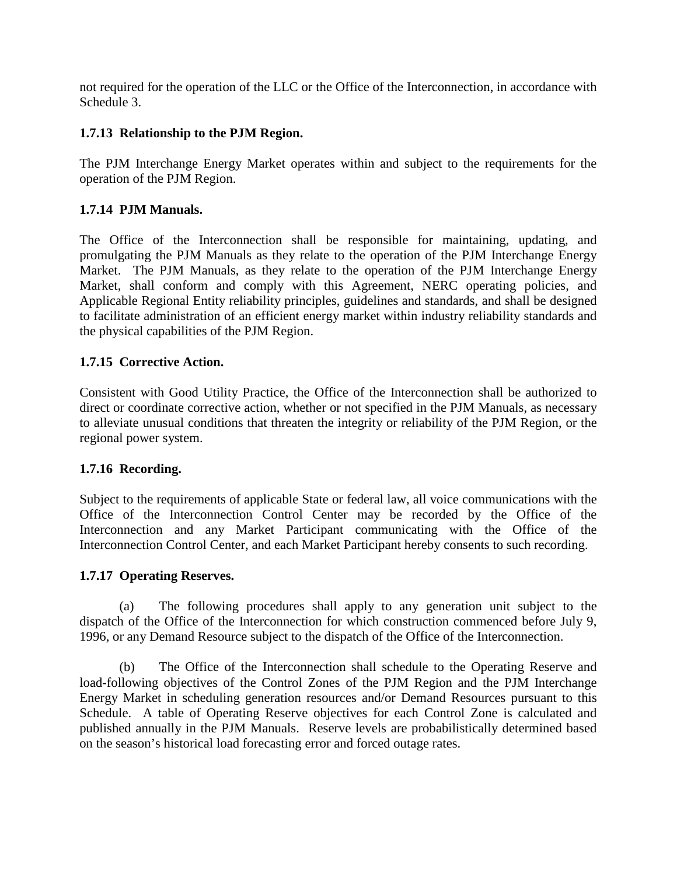not required for the operation of the LLC or the Office of the Interconnection, in accordance with Schedule 3.

## **1.7.13 Relationship to the PJM Region.**

The PJM Interchange Energy Market operates within and subject to the requirements for the operation of the PJM Region.

## **1.7.14 PJM Manuals.**

The Office of the Interconnection shall be responsible for maintaining, updating, and promulgating the PJM Manuals as they relate to the operation of the PJM Interchange Energy Market. The PJM Manuals, as they relate to the operation of the PJM Interchange Energy Market, shall conform and comply with this Agreement, NERC operating policies, and Applicable Regional Entity reliability principles, guidelines and standards, and shall be designed to facilitate administration of an efficient energy market within industry reliability standards and the physical capabilities of the PJM Region.

## **1.7.15 Corrective Action.**

Consistent with Good Utility Practice, the Office of the Interconnection shall be authorized to direct or coordinate corrective action, whether or not specified in the PJM Manuals, as necessary to alleviate unusual conditions that threaten the integrity or reliability of the PJM Region, or the regional power system.

### **1.7.16 Recording.**

Subject to the requirements of applicable State or federal law, all voice communications with the Office of the Interconnection Control Center may be recorded by the Office of the Interconnection and any Market Participant communicating with the Office of the Interconnection Control Center, and each Market Participant hereby consents to such recording.

### **1.7.17 Operating Reserves.**

(a) The following procedures shall apply to any generation unit subject to the dispatch of the Office of the Interconnection for which construction commenced before July 9, 1996, or any Demand Resource subject to the dispatch of the Office of the Interconnection.

(b) The Office of the Interconnection shall schedule to the Operating Reserve and load-following objectives of the Control Zones of the PJM Region and the PJM Interchange Energy Market in scheduling generation resources and/or Demand Resources pursuant to this Schedule. A table of Operating Reserve objectives for each Control Zone is calculated and published annually in the PJM Manuals. Reserve levels are probabilistically determined based on the season's historical load forecasting error and forced outage rates.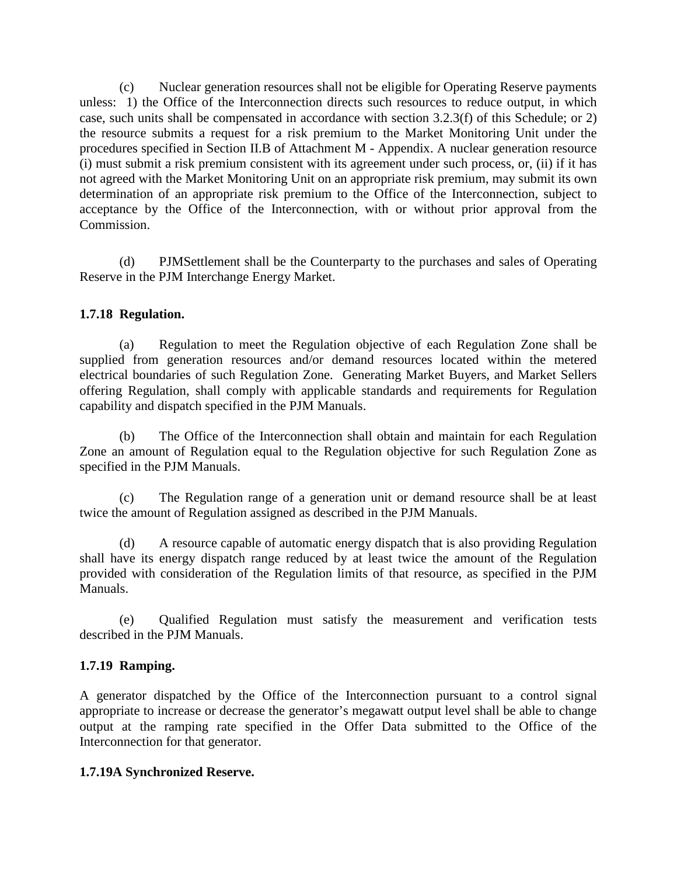(c) Nuclear generation resources shall not be eligible for Operating Reserve payments unless: 1) the Office of the Interconnection directs such resources to reduce output, in which case, such units shall be compensated in accordance with section 3.2.3(f) of this Schedule; or 2) the resource submits a request for a risk premium to the Market Monitoring Unit under the procedures specified in Section II.B of Attachment M - Appendix. A nuclear generation resource (i) must submit a risk premium consistent with its agreement under such process, or, (ii) if it has not agreed with the Market Monitoring Unit on an appropriate risk premium, may submit its own determination of an appropriate risk premium to the Office of the Interconnection, subject to acceptance by the Office of the Interconnection, with or without prior approval from the Commission.

(d) PJMSettlement shall be the Counterparty to the purchases and sales of Operating Reserve in the PJM Interchange Energy Market.

#### **1.7.18 Regulation.**

(a) Regulation to meet the Regulation objective of each Regulation Zone shall be supplied from generation resources and/or demand resources located within the metered electrical boundaries of such Regulation Zone. Generating Market Buyers, and Market Sellers offering Regulation, shall comply with applicable standards and requirements for Regulation capability and dispatch specified in the PJM Manuals.

(b) The Office of the Interconnection shall obtain and maintain for each Regulation Zone an amount of Regulation equal to the Regulation objective for such Regulation Zone as specified in the PJM Manuals.

(c) The Regulation range of a generation unit or demand resource shall be at least twice the amount of Regulation assigned as described in the PJM Manuals.

(d) A resource capable of automatic energy dispatch that is also providing Regulation shall have its energy dispatch range reduced by at least twice the amount of the Regulation provided with consideration of the Regulation limits of that resource, as specified in the PJM Manuals.

(e) Qualified Regulation must satisfy the measurement and verification tests described in the PJM Manuals.

#### **1.7.19 Ramping.**

A generator dispatched by the Office of the Interconnection pursuant to a control signal appropriate to increase or decrease the generator's megawatt output level shall be able to change output at the ramping rate specified in the Offer Data submitted to the Office of the Interconnection for that generator.

#### **1.7.19A Synchronized Reserve.**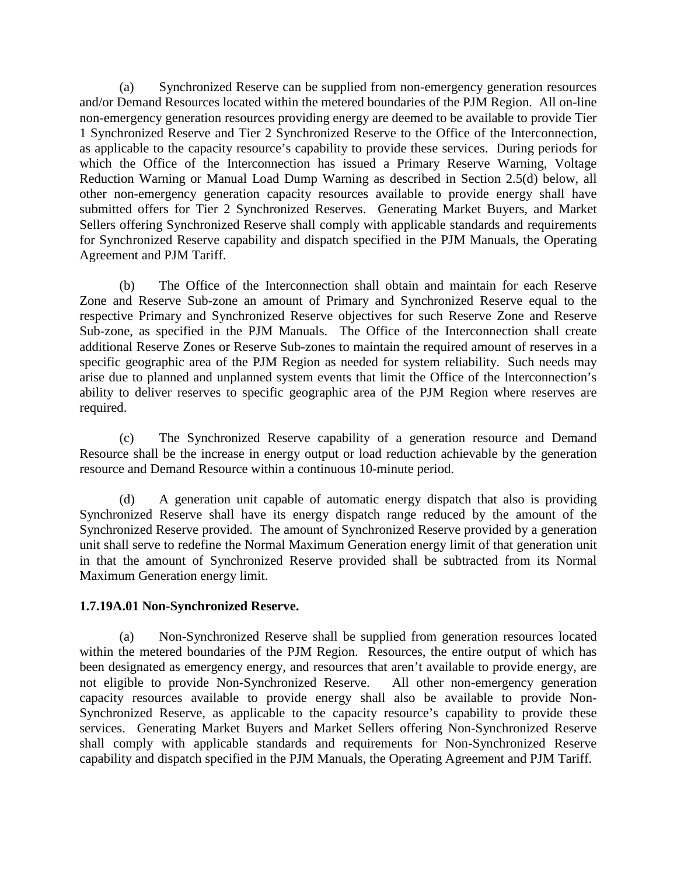(a) Synchronized Reserve can be supplied from non-emergency generation resources and/or Demand Resources located within the metered boundaries of the PJM Region. All on-line non-emergency generation resources providing energy are deemed to be available to provide Tier 1 Synchronized Reserve and Tier 2 Synchronized Reserve to the Office of the Interconnection, as applicable to the capacity resource's capability to provide these services. During periods for which the Office of the Interconnection has issued a Primary Reserve Warning, Voltage Reduction Warning or Manual Load Dump Warning as described in Section 2.5(d) below, all other non-emergency generation capacity resources available to provide energy shall have submitted offers for Tier 2 Synchronized Reserves. Generating Market Buyers, and Market Sellers offering Synchronized Reserve shall comply with applicable standards and requirements for Synchronized Reserve capability and dispatch specified in the PJM Manuals, the Operating Agreement and PJM Tariff.

(b) The Office of the Interconnection shall obtain and maintain for each Reserve Zone and Reserve Sub-zone an amount of Primary and Synchronized Reserve equal to the respective Primary and Synchronized Reserve objectives for such Reserve Zone and Reserve Sub-zone, as specified in the PJM Manuals. The Office of the Interconnection shall create additional Reserve Zones or Reserve Sub-zones to maintain the required amount of reserves in a specific geographic area of the PJM Region as needed for system reliability. Such needs may arise due to planned and unplanned system events that limit the Office of the Interconnection's ability to deliver reserves to specific geographic area of the PJM Region where reserves are required.

(c) The Synchronized Reserve capability of a generation resource and Demand Resource shall be the increase in energy output or load reduction achievable by the generation resource and Demand Resource within a continuous 10-minute period.

(d) A generation unit capable of automatic energy dispatch that also is providing Synchronized Reserve shall have its energy dispatch range reduced by the amount of the Synchronized Reserve provided. The amount of Synchronized Reserve provided by a generation unit shall serve to redefine the Normal Maximum Generation energy limit of that generation unit in that the amount of Synchronized Reserve provided shall be subtracted from its Normal Maximum Generation energy limit.

#### **1.7.19A.01 Non-Synchronized Reserve.**

(a) Non-Synchronized Reserve shall be supplied from generation resources located within the metered boundaries of the PJM Region. Resources, the entire output of which has been designated as emergency energy, and resources that aren't available to provide energy, are not eligible to provide Non-Synchronized Reserve. All other non-emergency generation capacity resources available to provide energy shall also be available to provide Non-Synchronized Reserve, as applicable to the capacity resource's capability to provide these services. Generating Market Buyers and Market Sellers offering Non-Synchronized Reserve shall comply with applicable standards and requirements for Non-Synchronized Reserve capability and dispatch specified in the PJM Manuals, the Operating Agreement and PJM Tariff.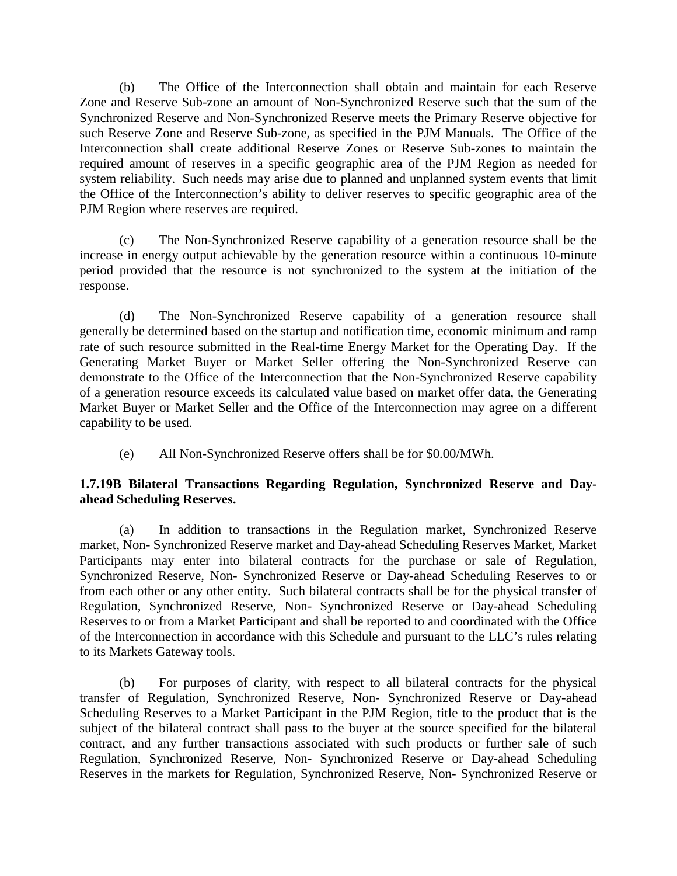(b) The Office of the Interconnection shall obtain and maintain for each Reserve Zone and Reserve Sub-zone an amount of Non-Synchronized Reserve such that the sum of the Synchronized Reserve and Non-Synchronized Reserve meets the Primary Reserve objective for such Reserve Zone and Reserve Sub-zone, as specified in the PJM Manuals. The Office of the Interconnection shall create additional Reserve Zones or Reserve Sub-zones to maintain the required amount of reserves in a specific geographic area of the PJM Region as needed for system reliability. Such needs may arise due to planned and unplanned system events that limit the Office of the Interconnection's ability to deliver reserves to specific geographic area of the PJM Region where reserves are required.

(c) The Non-Synchronized Reserve capability of a generation resource shall be the increase in energy output achievable by the generation resource within a continuous 10-minute period provided that the resource is not synchronized to the system at the initiation of the response.

(d) The Non-Synchronized Reserve capability of a generation resource shall generally be determined based on the startup and notification time, economic minimum and ramp rate of such resource submitted in the Real-time Energy Market for the Operating Day. If the Generating Market Buyer or Market Seller offering the Non-Synchronized Reserve can demonstrate to the Office of the Interconnection that the Non-Synchronized Reserve capability of a generation resource exceeds its calculated value based on market offer data, the Generating Market Buyer or Market Seller and the Office of the Interconnection may agree on a different capability to be used.

(e) All Non-Synchronized Reserve offers shall be for \$0.00/MWh.

### **1.7.19B Bilateral Transactions Regarding Regulation, Synchronized Reserve and Dayahead Scheduling Reserves.**

(a) In addition to transactions in the Regulation market, Synchronized Reserve market, Non- Synchronized Reserve market and Day-ahead Scheduling Reserves Market, Market Participants may enter into bilateral contracts for the purchase or sale of Regulation, Synchronized Reserve, Non- Synchronized Reserve or Day-ahead Scheduling Reserves to or from each other or any other entity. Such bilateral contracts shall be for the physical transfer of Regulation, Synchronized Reserve, Non- Synchronized Reserve or Day-ahead Scheduling Reserves to or from a Market Participant and shall be reported to and coordinated with the Office of the Interconnection in accordance with this Schedule and pursuant to the LLC's rules relating to its Markets Gateway tools.

(b) For purposes of clarity, with respect to all bilateral contracts for the physical transfer of Regulation, Synchronized Reserve, Non- Synchronized Reserve or Day-ahead Scheduling Reserves to a Market Participant in the PJM Region, title to the product that is the subject of the bilateral contract shall pass to the buyer at the source specified for the bilateral contract, and any further transactions associated with such products or further sale of such Regulation, Synchronized Reserve, Non- Synchronized Reserve or Day-ahead Scheduling Reserves in the markets for Regulation, Synchronized Reserve, Non- Synchronized Reserve or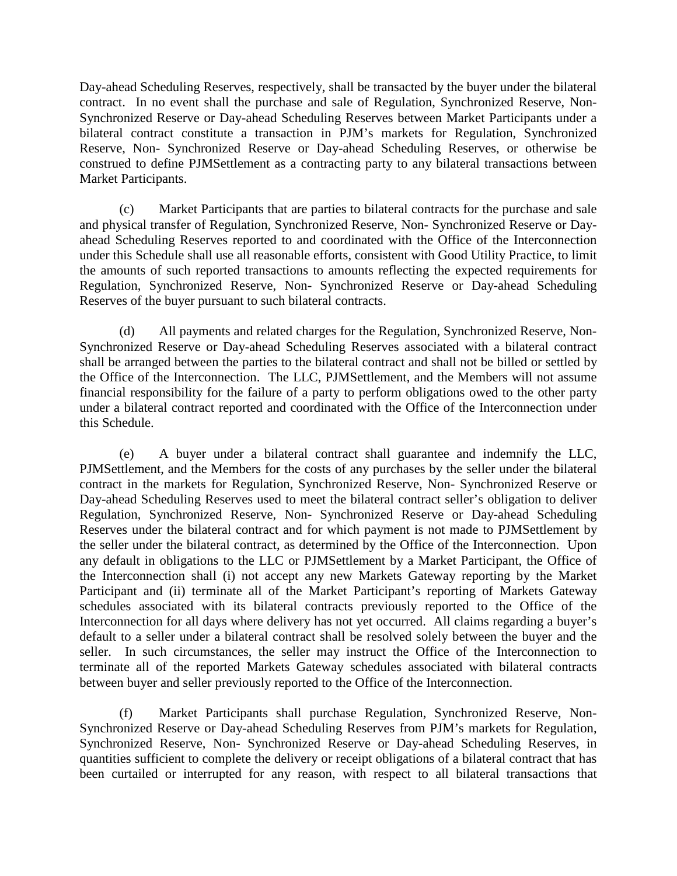Day-ahead Scheduling Reserves, respectively, shall be transacted by the buyer under the bilateral contract. In no event shall the purchase and sale of Regulation, Synchronized Reserve, Non-Synchronized Reserve or Day-ahead Scheduling Reserves between Market Participants under a bilateral contract constitute a transaction in PJM's markets for Regulation, Synchronized Reserve, Non- Synchronized Reserve or Day-ahead Scheduling Reserves, or otherwise be construed to define PJMSettlement as a contracting party to any bilateral transactions between Market Participants.

(c) Market Participants that are parties to bilateral contracts for the purchase and sale and physical transfer of Regulation, Synchronized Reserve, Non- Synchronized Reserve or Dayahead Scheduling Reserves reported to and coordinated with the Office of the Interconnection under this Schedule shall use all reasonable efforts, consistent with Good Utility Practice, to limit the amounts of such reported transactions to amounts reflecting the expected requirements for Regulation, Synchronized Reserve, Non- Synchronized Reserve or Day-ahead Scheduling Reserves of the buyer pursuant to such bilateral contracts.

(d) All payments and related charges for the Regulation, Synchronized Reserve, Non-Synchronized Reserve or Day-ahead Scheduling Reserves associated with a bilateral contract shall be arranged between the parties to the bilateral contract and shall not be billed or settled by the Office of the Interconnection. The LLC, PJMSettlement, and the Members will not assume financial responsibility for the failure of a party to perform obligations owed to the other party under a bilateral contract reported and coordinated with the Office of the Interconnection under this Schedule.

(e) A buyer under a bilateral contract shall guarantee and indemnify the LLC, PJMSettlement, and the Members for the costs of any purchases by the seller under the bilateral contract in the markets for Regulation, Synchronized Reserve, Non- Synchronized Reserve or Day-ahead Scheduling Reserves used to meet the bilateral contract seller's obligation to deliver Regulation, Synchronized Reserve, Non- Synchronized Reserve or Day-ahead Scheduling Reserves under the bilateral contract and for which payment is not made to PJMSettlement by the seller under the bilateral contract, as determined by the Office of the Interconnection. Upon any default in obligations to the LLC or PJMSettlement by a Market Participant, the Office of the Interconnection shall (i) not accept any new Markets Gateway reporting by the Market Participant and (ii) terminate all of the Market Participant's reporting of Markets Gateway schedules associated with its bilateral contracts previously reported to the Office of the Interconnection for all days where delivery has not yet occurred. All claims regarding a buyer's default to a seller under a bilateral contract shall be resolved solely between the buyer and the seller. In such circumstances, the seller may instruct the Office of the Interconnection to terminate all of the reported Markets Gateway schedules associated with bilateral contracts between buyer and seller previously reported to the Office of the Interconnection.

(f) Market Participants shall purchase Regulation, Synchronized Reserve, Non-Synchronized Reserve or Day-ahead Scheduling Reserves from PJM's markets for Regulation, Synchronized Reserve, Non- Synchronized Reserve or Day-ahead Scheduling Reserves, in quantities sufficient to complete the delivery or receipt obligations of a bilateral contract that has been curtailed or interrupted for any reason, with respect to all bilateral transactions that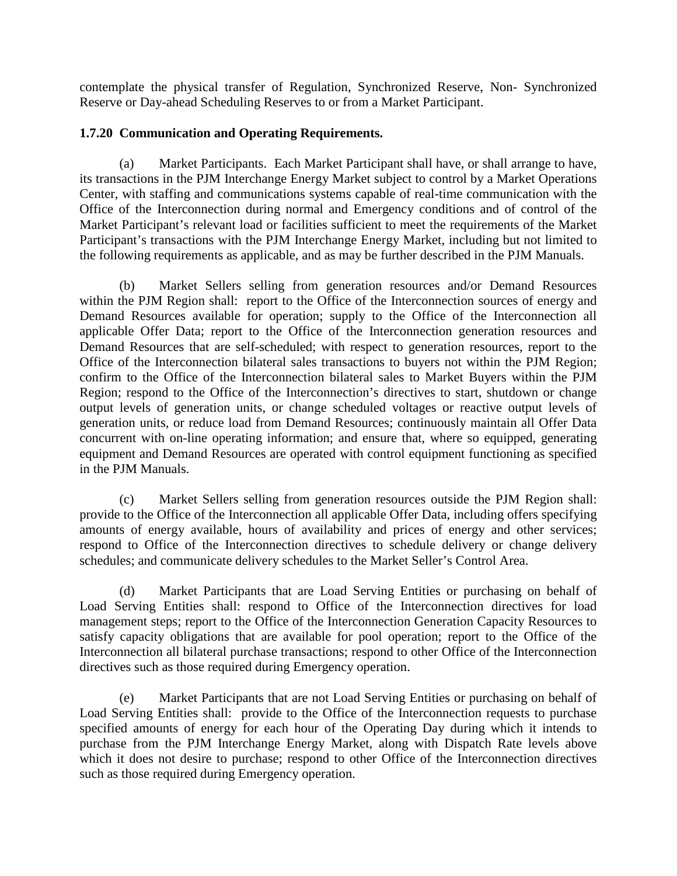contemplate the physical transfer of Regulation, Synchronized Reserve, Non- Synchronized Reserve or Day-ahead Scheduling Reserves to or from a Market Participant.

## **1.7.20 Communication and Operating Requirements.**

(a) Market Participants. Each Market Participant shall have, or shall arrange to have, its transactions in the PJM Interchange Energy Market subject to control by a Market Operations Center, with staffing and communications systems capable of real-time communication with the Office of the Interconnection during normal and Emergency conditions and of control of the Market Participant's relevant load or facilities sufficient to meet the requirements of the Market Participant's transactions with the PJM Interchange Energy Market, including but not limited to the following requirements as applicable, and as may be further described in the PJM Manuals.

(b) Market Sellers selling from generation resources and/or Demand Resources within the PJM Region shall: report to the Office of the Interconnection sources of energy and Demand Resources available for operation; supply to the Office of the Interconnection all applicable Offer Data; report to the Office of the Interconnection generation resources and Demand Resources that are self-scheduled; with respect to generation resources, report to the Office of the Interconnection bilateral sales transactions to buyers not within the PJM Region; confirm to the Office of the Interconnection bilateral sales to Market Buyers within the PJM Region; respond to the Office of the Interconnection's directives to start, shutdown or change output levels of generation units, or change scheduled voltages or reactive output levels of generation units, or reduce load from Demand Resources; continuously maintain all Offer Data concurrent with on-line operating information; and ensure that, where so equipped, generating equipment and Demand Resources are operated with control equipment functioning as specified in the PJM Manuals.

(c) Market Sellers selling from generation resources outside the PJM Region shall: provide to the Office of the Interconnection all applicable Offer Data, including offers specifying amounts of energy available, hours of availability and prices of energy and other services; respond to Office of the Interconnection directives to schedule delivery or change delivery schedules; and communicate delivery schedules to the Market Seller's Control Area.

(d) Market Participants that are Load Serving Entities or purchasing on behalf of Load Serving Entities shall: respond to Office of the Interconnection directives for load management steps; report to the Office of the Interconnection Generation Capacity Resources to satisfy capacity obligations that are available for pool operation; report to the Office of the Interconnection all bilateral purchase transactions; respond to other Office of the Interconnection directives such as those required during Emergency operation.

(e) Market Participants that are not Load Serving Entities or purchasing on behalf of Load Serving Entities shall: provide to the Office of the Interconnection requests to purchase specified amounts of energy for each hour of the Operating Day during which it intends to purchase from the PJM Interchange Energy Market, along with Dispatch Rate levels above which it does not desire to purchase; respond to other Office of the Interconnection directives such as those required during Emergency operation.